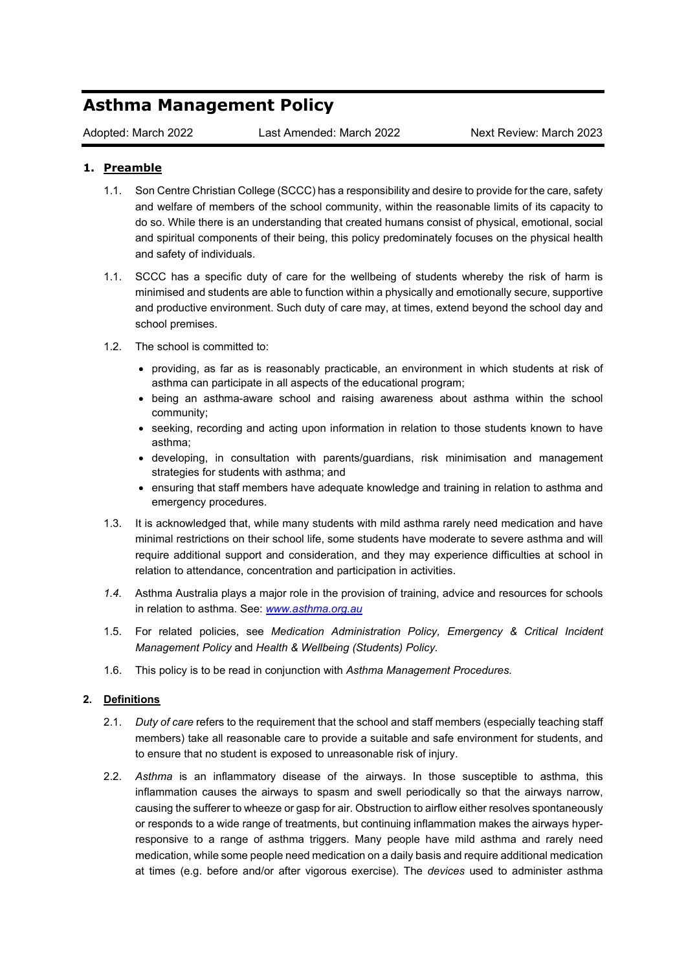# **Asthma Management Policy**

## **1. Preamble**

- 1.1. Son Centre Christian College (SCCC) has a responsibility and desire to provide for the care, safety and welfare of members of the school community, within the reasonable limits of its capacity to do so. While there is an understanding that created humans consist of physical, emotional, social and spiritual components of their being, this policy predominately focuses on the physical health and safety of individuals.
- 1.1. SCCC has a specific duty of care for the wellbeing of students whereby the risk of harm is minimised and students are able to function within a physically and emotionally secure, supportive and productive environment. Such duty of care may, at times, extend beyond the school day and school premises.
- 1.2. The school is committed to:
	- providing, as far as is reasonably practicable, an environment in which students at risk of asthma can participate in all aspects of the educational program;
	- being an asthma-aware school and raising awareness about asthma within the school community;
	- seeking, recording and acting upon information in relation to those students known to have asthma;
	- developing, in consultation with parents/guardians, risk minimisation and management strategies for students with asthma; and
	- ensuring that staff members have adequate knowledge and training in relation to asthma and emergency procedures.
- 1.3. It is acknowledged that, while many students with mild asthma rarely need medication and have minimal restrictions on their school life, some students have moderate to severe asthma and will require additional support and consideration, and they may experience difficulties at school in relation to attendance, concentration and participation in activities.
- *1.4.* Asthma Australia plays a major role in the provision of training, advice and resources for schools in relation to asthma. See: *[www.asthma.org.au](http://www.asthma.org.au/)*
- 1.5. For related policies, see *Medication Administration Policy, Emergency & Critical Incident Management Policy* and *Health & Wellbeing (Students) Policy.*
- 1.6. This policy is to be read in conjunction with *Asthma Management Procedures.*

### **2. Definitions**

- 2.1. *Duty of care* refers to the requirement that the school and staff members (especially teaching staff members) take all reasonable care to provide a suitable and safe environment for students, and to ensure that no student is exposed to unreasonable risk of injury.
- 2.2. *Asthma* is an inflammatory disease of the airways. In those susceptible to asthma, this inflammation causes the airways to spasm and swell periodically so that the airways narrow, causing the sufferer to wheeze or gasp for air. Obstruction to airflow either resolves spontaneously or responds to a wide range of treatments, but continuing inflammation makes the airways hyperresponsive to a range of asthma triggers. Many people have mild asthma and rarely need medication, while some people need medication on a daily basis and require additional medication at times (e.g. before and/or after vigorous exercise). The *devices* used to administer asthma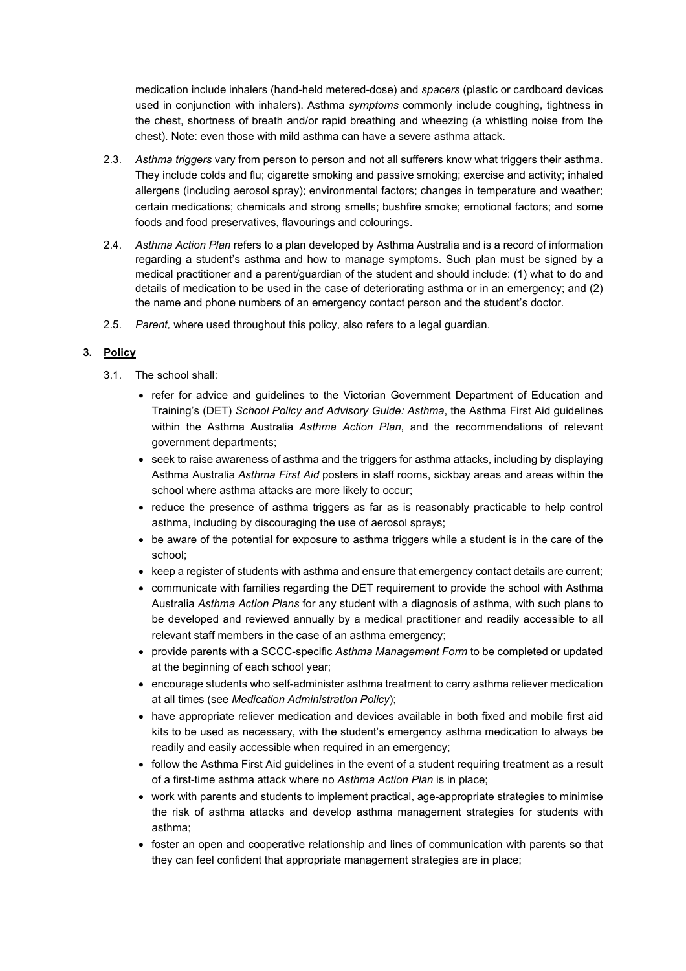medication include inhalers (hand-held metered-dose) and *spacers* (plastic or cardboard devices used in conjunction with inhalers). Asthma *symptoms* commonly include coughing, tightness in the chest, shortness of breath and/or rapid breathing and wheezing (a whistling noise from the chest). Note: even those with mild asthma can have a severe asthma attack.

- 2.3. *Asthma triggers* vary from person to person and not all sufferers know what triggers their asthma. They include colds and flu; cigarette smoking and passive smoking; exercise and activity; inhaled allergens (including aerosol spray); environmental factors; changes in temperature and weather; certain medications; chemicals and strong smells; bushfire smoke; emotional factors; and some foods and food preservatives, flavourings and colourings.
- 2.4. *Asthma Action Plan* refers to a plan developed by Asthma Australia and is a record of information regarding a student's asthma and how to manage symptoms. Such plan must be signed by a medical practitioner and a parent/guardian of the student and should include: (1) what to do and details of medication to be used in the case of deteriorating asthma or in an emergency; and (2) the name and phone numbers of an emergency contact person and the student's doctor.
- 2.5. *Parent,* where used throughout this policy, also refers to a legal guardian.

### **3. Policy**

- 3.1. The school shall:
	- refer for advice and guidelines to the Victorian Government Department of Education and Training's (DET) *School Policy and Advisory Guide: Asthma*, the Asthma First Aid guidelines within the Asthma Australia *Asthma Action Plan*, and the recommendations of relevant government departments;
	- seek to raise awareness of asthma and the triggers for asthma attacks, including by displaying Asthma Australia *Asthma First Aid* posters in staff rooms, sickbay areas and areas within the school where asthma attacks are more likely to occur;
	- reduce the presence of asthma triggers as far as is reasonably practicable to help control asthma, including by discouraging the use of aerosol sprays;
	- be aware of the potential for exposure to asthma triggers while a student is in the care of the school;
	- keep a register of students with asthma and ensure that emergency contact details are current;
	- communicate with families regarding the DET requirement to provide the school with Asthma Australia *Asthma Action Plans* for any student with a diagnosis of asthma, with such plans to be developed and reviewed annually by a medical practitioner and readily accessible to all relevant staff members in the case of an asthma emergency;
	- provide parents with a SCCC-specific *Asthma Management Form* to be completed or updated at the beginning of each school year;
	- encourage students who self-administer asthma treatment to carry asthma reliever medication at all times (see *Medication Administration Policy*);
	- have appropriate reliever medication and devices available in both fixed and mobile first aid kits to be used as necessary, with the student's emergency asthma medication to always be readily and easily accessible when required in an emergency;
	- follow the Asthma First Aid guidelines in the event of a student requiring treatment as a result of a first-time asthma attack where no *Asthma Action Plan* is in place;
	- work with parents and students to implement practical, age-appropriate strategies to minimise the risk of asthma attacks and develop asthma management strategies for students with asthma;
	- foster an open and cooperative relationship and lines of communication with parents so that they can feel confident that appropriate management strategies are in place;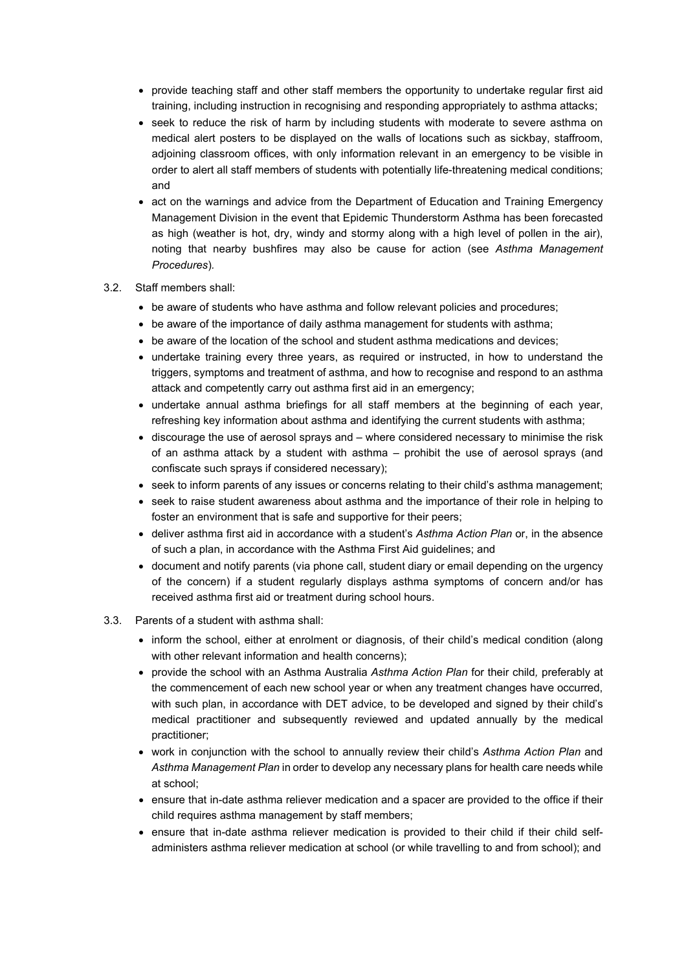- provide teaching staff and other staff members the opportunity to undertake regular first aid training, including instruction in recognising and responding appropriately to asthma attacks;
- seek to reduce the risk of harm by including students with moderate to severe asthma on medical alert posters to be displayed on the walls of locations such as sickbay, staffroom, adjoining classroom offices, with only information relevant in an emergency to be visible in order to alert all staff members of students with potentially life-threatening medical conditions; and
- act on the warnings and advice from the Department of Education and Training Emergency Management Division in the event that Epidemic Thunderstorm Asthma has been forecasted as high (weather is hot, dry, windy and stormy along with a high level of pollen in the air), noting that nearby bushfires may also be cause for action (see *Asthma Management Procedures*)*.*
- 3.2. Staff members shall:
	- be aware of students who have asthma and follow relevant policies and procedures;
	- be aware of the importance of daily asthma management for students with asthma;
	- be aware of the location of the school and student asthma medications and devices:
	- undertake training every three years, as required or instructed, in how to understand the triggers, symptoms and treatment of asthma, and how to recognise and respond to an asthma attack and competently carry out asthma first aid in an emergency;
	- undertake annual asthma briefings for all staff members at the beginning of each year, refreshing key information about asthma and identifying the current students with asthma;
	- discourage the use of aerosol sprays and where considered necessary to minimise the risk of an asthma attack by a student with asthma – prohibit the use of aerosol sprays (and confiscate such sprays if considered necessary);
	- seek to inform parents of any issues or concerns relating to their child's asthma management;
	- seek to raise student awareness about asthma and the importance of their role in helping to foster an environment that is safe and supportive for their peers;
	- deliver asthma first aid in accordance with a student's *Asthma Action Plan* or, in the absence of such a plan, in accordance with the Asthma First Aid guidelines; and
	- document and notify parents (via phone call, student diary or email depending on the urgency of the concern) if a student regularly displays asthma symptoms of concern and/or has received asthma first aid or treatment during school hours.
- 3.3. Parents of a student with asthma shall:
	- inform the school, either at enrolment or diagnosis, of their child's medical condition (along with other relevant information and health concerns);
	- provide the school with an Asthma Australia *Asthma Action Plan* for their child*,* preferably at the commencement of each new school year or when any treatment changes have occurred, with such plan, in accordance with DET advice, to be developed and signed by their child's medical practitioner and subsequently reviewed and updated annually by the medical practitioner;
	- work in conjunction with the school to annually review their child's *Asthma Action Plan* and *Asthma Management Plan* in order to develop any necessary plans for health care needs while at school;
	- ensure that in-date asthma reliever medication and a spacer are provided to the office if their child requires asthma management by staff members;
	- ensure that in-date asthma reliever medication is provided to their child if their child selfadministers asthma reliever medication at school (or while travelling to and from school); and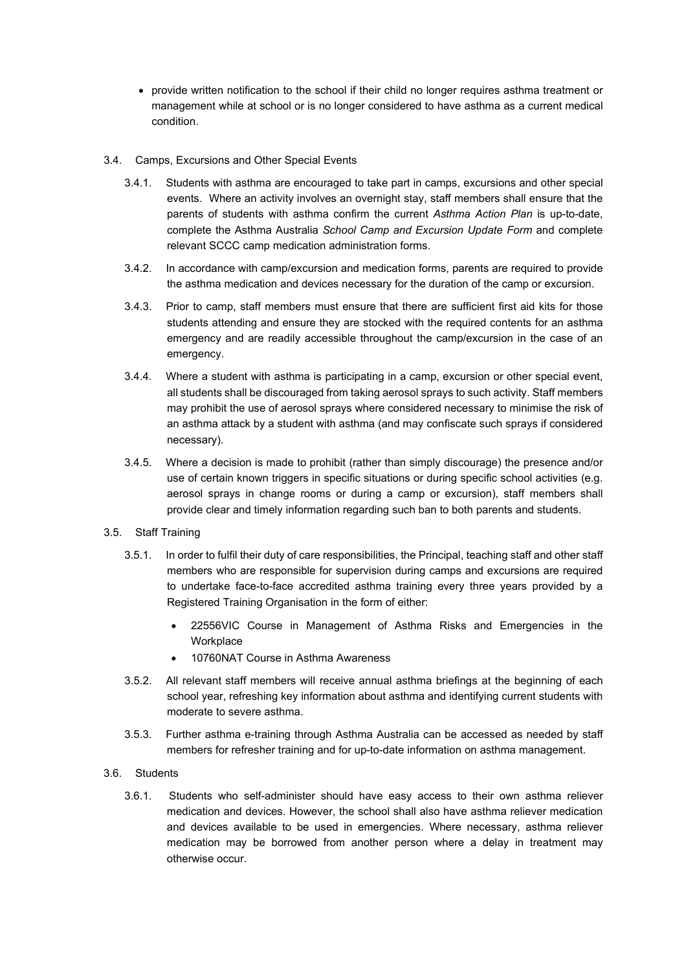• provide written notification to the school if their child no longer requires asthma treatment or management while at school or is no longer considered to have asthma as a current medical condition.

#### 3.4. Camps, Excursions and Other Special Events

- 3.4.1. Students with asthma are encouraged to take part in camps, excursions and other special events. Where an activity involves an overnight stay, staff members shall ensure that the parents of students with asthma confirm the current *Asthma Action Plan* is up-to-date, complete the Asthma Australia *School Camp and Excursion Update Form* and complete relevant SCCC camp medication administration forms.
- 3.4.2. In accordance with camp/excursion and medication forms, parents are required to provide the asthma medication and devices necessary for the duration of the camp or excursion.
- 3.4.3. Prior to camp, staff members must ensure that there are sufficient first aid kits for those students attending and ensure they are stocked with the required contents for an asthma emergency and are readily accessible throughout the camp/excursion in the case of an emergency.
- 3.4.4. Where a student with asthma is participating in a camp, excursion or other special event, all students shall be discouraged from taking aerosol sprays to such activity. Staff members may prohibit the use of aerosol sprays where considered necessary to minimise the risk of an asthma attack by a student with asthma (and may confiscate such sprays if considered necessary).
- 3.4.5. Where a decision is made to prohibit (rather than simply discourage) the presence and/or use of certain known triggers in specific situations or during specific school activities (e.g. aerosol sprays in change rooms or during a camp or excursion), staff members shall provide clear and timely information regarding such ban to both parents and students.
- 3.5. Staff Training
	- 3.5.1. In order to fulfil their duty of care responsibilities, the Principal, teaching staff and other staff members who are responsible for supervision during camps and excursions are required to undertake face-to-face accredited asthma training every three years provided by a Registered Training Organisation in the form of either:
		- 22556VIC Course in Management of Asthma Risks and Emergencies in the **Workplace**
		- 10760NAT Course in Asthma Awareness
	- 3.5.2. All relevant staff members will receive annual asthma briefings at the beginning of each school year, refreshing key information about asthma and identifying current students with moderate to severe asthma.
	- 3.5.3. Further asthma e-training through Asthma Australia can be accessed as needed by staff members for refresher training and for up-to-date information on asthma management.
- 3.6. Students
	- 3.6.1. Students who self-administer should have easy access to their own asthma reliever medication and devices. However, the school shall also have asthma reliever medication and devices available to be used in emergencies. Where necessary, asthma reliever medication may be borrowed from another person where a delay in treatment may otherwise occur.